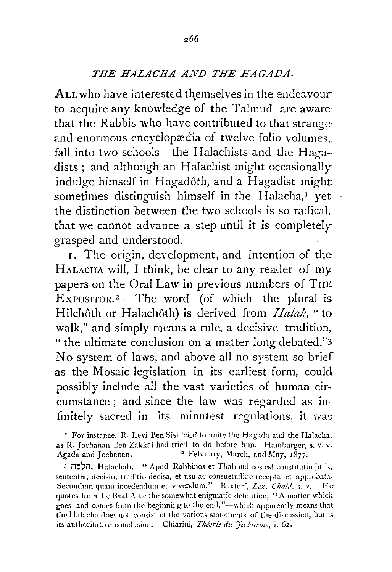## *TilE HALACHA AND THE HAGADA.*

ALL who have interested themselves in the endeavour to acquire any knowledge of the Talmud are aware that the Rabbis who have contributed to that strange· and enormous encyclopædia of twelve folio volumes, fall into two schools-the Halachists and the Hagadists ; and although an Halachist might occasionally indulge himself in Hagadôth, and a Hagadist might sometimes distinguish himself in the Halacha, $<sup>I</sup>$  yet</sup> the distinction between the two schools is so radical, that we cannot advance a step until it is completely grasped and understood.

I. The origin, development, and intention of the HALACHA will, I think, be clear to any reader of my papers on the Oral Law in previous numbers of THE EXPOSITOR.<sup>2</sup> The word (of which the plural is Hilchôth or Halachôth) is derived from *Halak*, "to walk," and simply means a rule, a decisive tradition, "the ultimate conclusion on a matter long debated.''3 No system of laws, and above all no system so brief as the Mosaic legislation in its earliest form, could possibly include all the vast varieties of human circumstance ; and since the law was regarded as in· finitely sacred in its minutest regulations, it was

<sup>1</sup> For instance, R. Levi Ben Sisi tried to unite the Hagada and the Halacha, as R. Jochanan Een Zakkai had tried to do before him. Hamburger, s. v. v. Agada and Jochanan. 2 February, March, and May, 1877.

<sup>1</sup>i1:~~i1, Halachah. "Apud Rahbinos et Thalmudi<:os est constitutio juri,, sententia, decisio, traditio decisa, et usu ac consuetudine recepta et approhata. Secundum quam incedendum et vivendum." Buxtorf, *Lex. Chald.* s. v. He quotes from the Baal Aruc the somewhat enigmatic definition, "A matter which goes and comes from the beginning to the end,"—which apparently means that the Halacha does not consist of the various statements of the discussion, but is its authoritative conclusion.-Chiarini, *Théorie du Judaisme*, *i. 62*.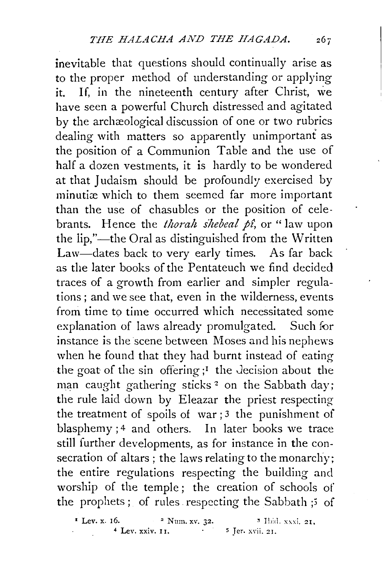inevitable that questions should continually arise as to the proper method of understanding or applying it. If, in the nineteenth century after Christ, we have seen a powerful Church distressed and agitated by the archæological discussion of one or two rubrics dealing with matters so apparently unimportant as the position of a Communion Table and the use of half a dozen vestments, it is hardly to be wondered at that Judaism should be profoundly exercised by minutiæ which to them seemed far more important than the use of chasubles or the position of celebrants. Hence the *thorah shebeal p£,* or "law upon the lip,"—the Oral as distinguished from the Written Law-dates back to very early times. As far back as the later books of the Pentateuch we find decided traces of a growth from earlier and simpler regulations ; and we see that, even in the wilderness, events from time to time occurred which necessitated some explanation of laws already promulgated. Such for instance is the scene between Moses and his nephews when he found that they had burnt instead of eating the goat of the sin offering  $;1$  the decision about the man caught gathering sticks<sup>2</sup> on the Sabbath day; the rule laid down by Eleazar the priest respecting the treatment of spoils of war ; 3 the punishment of blasphemy ; 4 and others. In later books we trace still further developments, as for instance in the consecration of altars; the laws relating to the monarchy; the entire regulations respecting the building and worship of the temple; the creation of schools of the prophets; of rules respecting the Sabbath ;5 of

 $*$  Lev. x. 16.  $*$  Num. xv. 32.  $*$  Ibid. xxxi. 21,  $*$  Lev. xxiv. 11.  $*$  Ier. xvii. 21.  $5$  Jer.  $x$ vii. 21.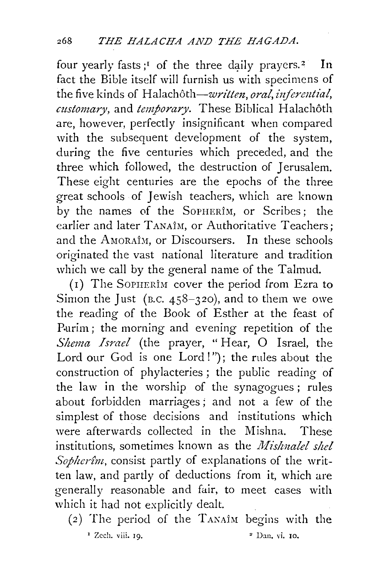four yearly fasts;<sup>1</sup> of the three daily prayers.<sup>2</sup> In fact the Bible itself will furnish us with specimens of the five kinds of Halachôth—written, oral, inferential, customary, and *temporary*. These Biblical Halachôth are, however, perfectly insignificant when compared with the subsequent development of the system, during the five centuries which preceded, and the three which followed, the destruction of Jerusalem. These eight centuries are the epochs of the three great schools of Jewish teachers, which are known by the names of the SoPHERiM, or Scribes; the earlier and later TANAÎM, or Authoritative Teachers; and the AMORAÎM, or Discoursers. In these schools originated the vast national literature and tradition which we call by the general name of the Talmud.

(1) The SoPHERIM cover the period from Ezra to Simon the Just (B.C.  $458-320$ ), and to them we owe the reading of the Book of Esther at the feast of Purim; the morning and evening repetition of the *Slzema Israel* (the prayer, "Hear, 0 Israel, the Lord our God is one Lord!"); the rules about the construction of phylacteries ; the public reading of the law in the worship of the synagogues; rules about forbidden marriages; and not a few of the simplest of those decisions and institutions which were afterwards collected in the Mishna. These institutions, sometimes known as the *Mishnalel shel Sopherîm*, consist partly of explanations of the written law, and partly of deductions from it, which are generally reasonable and fair, to meet cases with which it had not explicitly dealt.

 $(2)$  The period of the TANAIM begins with the  $\frac{1}{2}$  Zech. viii. 19.  $\frac{1}{2}$  Dan, vi. 10.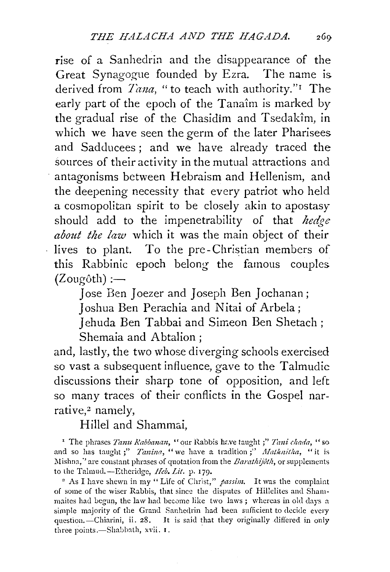rise of a Sanhedrin and the disappearance of the Great Synagogue founded by Ezra. The name is derived from *Tana*, "to teach with authority."<sup>I</sup> The early part of the epoch of the Tanaîm is marked by the gradual rise of the Chasidim and Tsedakim, in which we have seen the germ of the later Pharisees. and Sadducees; and we have already traced the sources of their activity in the mutual attractions and antagonisms between Hebraism and Hellenism, and the deepening necessity that every patriot who held a cosmopolitan spirit to be closely akin to apostasy should add to the impenetrability of that *hedge about the law* which it was the main object of their lives to plant. To the pre-Christian members of this Rabbinic epoch belong the famous couples.  $(Zougôth) :=$ 

> Jose Ben Joezer and Joseph Ben Jochanan; Joshua Ben Perachia and Nitai of Arbela;

Jehuda Ben Tabbai and Simeon Ben Shetach; Shemaia and Abtalion ;

and, lastly, the two whose diverging schools exercised so vast a subsequent influence, gave to the Talmudic discussions their sharp tone of opposition, and left so many traces of their conflicts in the Gospel narrative,2 namely,

Hillel and Shammai.

' The phrases *Tanu Rabbamm,* "our Rabbis hr.ve taught ;" *7imi chada,* "so and so has taught;" *Tanina*, "we have a tradition;" Matknitha, "it is Mishna," are constant phrases of quotation from the *Barathijôth*, or supplements to the Talmud.—Etheridge, *Heb. Lit.* p. 179.<br><sup>2</sup> As I have shewn in my "Life of Christ," *passim*. It was the complaint

of some of the wiser Rabbis, that since the disputes of Hillelites and Sham· maites had begun, the law had become like two laws; whereas in old days a simple majority of the Grand Sanhedrin had been sufficient to decide every question.-Chiarini, ii. 28. It is said that they originally differed in only three points.-Shabbath, xvii. I.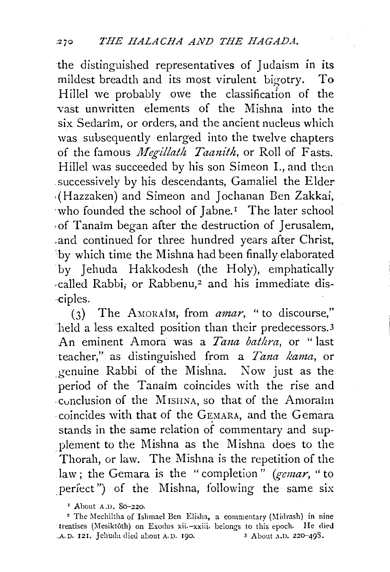the distinguished representatives of Judaism in its mildest breadth and its most virulent bigotry. To Hillel we probably owe the classification of the vast unwritten elements of the Mishna into the six Sedarim, or orders, and the ancient nucleus which was subsequently enlarged into the twelve chapters of the famous *Megillath Taanith*, or Roll of Fasts. Hillel was succeeded by his son Simeon I., and then successively by his descendants, Gamaliel the Elder . ( Hazzaken) and Simeon and J ochanan Ben Zakkai, who founded the school of Jabne.<sup>1</sup> The later school of Tanaim began after the destruction of Jerusalem, .and continued for three hundred years after Christ, by which time the Mishna had been finally elaborated by Jehuda Hakkodesh (the Holy), emphatically -called Rabbi, or Rabbenu,<sup>2</sup> and his immediate dis--ciples.

(3) The AMORAIM, from *anzar,* "to discourse,'' held a less exalted position than their predecessors.<sup>3</sup> An eminent Amora was a *Tana bathra*, or "last teacher," as distinguished from a *Tana kama*, or genuine Rabbi of the Mishna. Now just as the period of the Tanaim coincides with the rise and . cvnclusion of the M ISHNA, so that of the Amoraim coincides with that of the GEMARA, and the Gemara stands in the same relation of commentary and supplement to the Mishna as the Mishna does to the Thorah, or law. The Mishna is the repetition of the law; the Gemara is the "completion" *(gemar*, "to perfect") of the Mishna, following the same six

<sup>1</sup> About A.D. 80–220. 2 The Mechiltha of Ishmael Ben Elisha, a commentary (Midrash) in nine ·treatises (Mesiktoth) on Exodus xii.-xxiii. belongs to this epoch. He clieJ A. D. 121. Jehuda died about A. D. 190. 3 About A.D. 220-49S.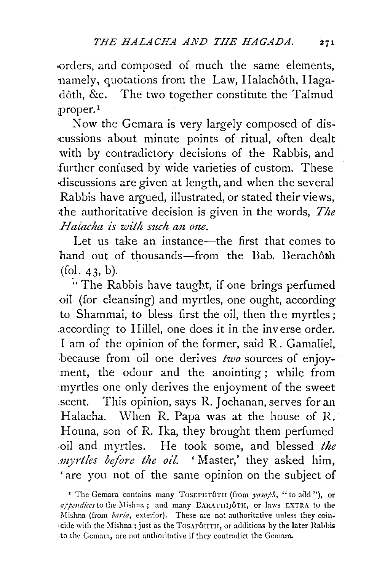•orders, and composed of much the same elements, namely, quotations from the Law, Halachôth, Hagadôth, &c. The two together constitute the Talmud ;proper. <sup>1</sup>

Now the Gemara is very largely composed of discussions about minute points of ritual, often dealt with by contradictory decisions of the Rabbis, and further confused by wide varieties of custom. These -discussions are given at length, and when the several Rabbis have argued, illustrated, or stated their views, the authoritative decision is given in the words, *The Halacha is with such an one.* 

Let us take an instance—the first that comes to hand out of thousands-from the Bab. Berachôth  $(fol. 43, b)$ .

. " The Rabbis have taught, if one brings perfumed oil (for cleansing) and myrtles, one ought, according to Shammai, to bless first the oil, then the myrtles; .according to Hillel, one does it in the inverse order. I am of the opinion of the former, said R. Gamaliel, because from oil one derives *two* sources of enjoyment, the odour and the anointing ; while from myrtles one only derives the enjoyment of the sweet scent. This opinion, says R. Jochanan, serves for an Halacha. When R. Papa was at the house of R. Houna, son of R. Ika, they brought them perfumed -oil and myrtles. He took some, and blessed *the .myrtles before the oil.* 'Master,' they asked him, ' are you not of the same opinion on the subject of

<sup>&</sup>lt;sup>1</sup> The Gemara contains many TOSEPHTÔTH (from *yasaph*, "to add "), or *a/pmdices* to the Mishna; and many DARATIIIJOTII, or laws EXTRA to the Mishna (from *baria*, exterior). These are not authoritative unless they coin--citle with the Mishna; just as the TosAPOHTH, or additions by the later Raobi» to the Gemara, are not authoritative if they contradict the Gemara.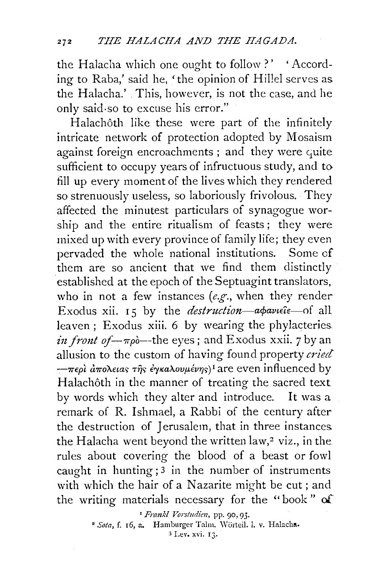the Halacha which one ought to follow?' 'According to Raba,' said he, 'the opinion of Hillel serves as the Halacha.' This, however, is not the case, and he only said-so to excuse his error."

Halachôth like these were part of the infinitely intricate network of protection adopted by Mosaism against foreign encroachments; and they were quite sufficient to occupy years of infructuous study, and to fill up every moment of the lives which they rendered so strenuously useless, so laboriously frivolous. They affected the minutest particulars of synagogue worship and the entire ritualism of feasts ; they were mixed up with every province of family life; they even pervaded the whole national institutions. Some of them are so ancient that we find them distinctly established at the epoch of the Septuagint translators, who in not a few instances (e.g., when they render Exodus xii. 15 by the *destruction-apaviele*-of all leaven; Exodus xiii. 6 by wearing the phylacteries. *in front of-* $-\pi\rho\delta$ *-the eyes;* and Exodus xxii. 7 by an allusion to the custom of having found property cried  $-\pi\epsilon\rho\hat{i}$  *απολειας της έγκαλουμένης*)<sup>*I*</sup> are even influenced by Halachôth in the manner of treating the sacred text by words which they alter and introduce. It was a remark of R. Ishmael, a Rabbi of the century after the destruction of Jerusalem, that in three instances. the Halacha went beyond the written law,<sup>2</sup> viz., in the rules about covering the blood of a beast or fowl caught in hunting; 3 in the number of instruments with which the hair of a Nazarite might be cut; and the writing materials necessary for the "book " of

<sup>1</sup> Frankl Vorstudien, pp. 90, 95.

<sup>2</sup> Sota, f. 16, a. Hamburger Talm. Wörteil. 1. v. Halacha.

<sup>3</sup> Lev. xvi. 13.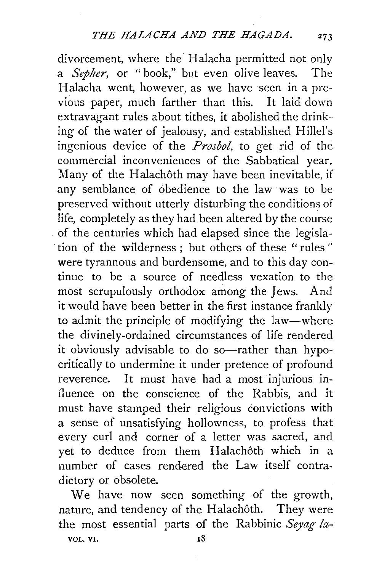divorcement, where the Halacha permitted not only a *Sepher,* or "book," but even olive leaves. The Halacha went, however, as we have seen in a previous paper, much farther than this. It laid down extravagant rules about tithes, it abolished the drink-ing of the water of jealousy, and established Hillel's ingenious device of the *Prosbol,* to get rid of the commercial inconveniences of the Sabbatical year, Many of the Halachôth may have been inevitable, if any semblance of obedience to the law was to be preserved without utterly disturbing the conditions of life, completely as they had been altered by the course of the centuries which had elapsed since the legisla tion of the wilderness; but others of these "rules" were tyrannous and burdensome, and to this day continue to be a source of needless vexation to the most scrupulously orthodox among the Jews. And it would have been better in the first instance frankly to admit the principle of modifying the law-where the divinely-ordained circumstances of life rendered it obviously advisable to do so-rather than hypocritically to undermine it under pretence of profound reverence. It must have had a most injurious influence on the conscience of the Rabbis, and it must have stamped their religious convictions with a sense of unsatisfying hollowness, to profess that every curl and corner of a letter was sacred, and yet to deduce from them Halachôth which in a number of cases rendered the Law itself contradictory or obsolete.

We have now seen something of the growth, nature, and tendency of the Halachôth. They were the most essential parts of the Rabbinic *Seyag fa-*VOL. VI. 18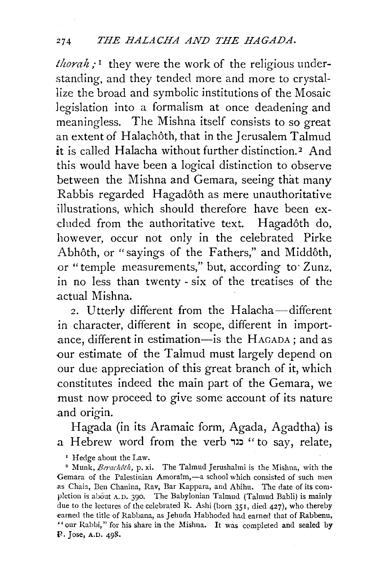*thorah;* 1 they were the work of the religious understanding, and they tended more and more to crystallize the broad and symbolic institutions of the Mosaic legislation into a formalism at once deadening and meaningless. The Mishna itself consists to so great an extent of Halachôth, that in the Jerusalem Talmud it is called Halacha without further distinction. *2* And this would have been a logical distinction to observe between the Mishna and Gemara, seeing that many Rabbis regarded Hagadoth as mere unauthoritative illustrations, which should therefore have been excluded from the authoritative text. Hagadôth do, however, occur not only in the celebrated Pirke Abhôth, or "sayings of the Fathers," and Middôth, or "temple measurements," but, according to· Zunz, in no less than twenty- six of the treatises of the .actual Mishna.

2. Utterly different from the Halacha-different in character, different in scope, different in importance, different in estimation-is the HAGADA; and as our estimate of the Talmud must largely depend on our due appreciation of this great branch of it, which constitutes indeed the main part of the Gemara, we must now proceed to give some account of its nature .and origin.

Hagada (in its Aramaic form, Agada, Agadtha) is a Hebrew word from the verb " כגד נגד to say, relate,

<sup>1</sup> Hedge about the Law.<br><sup>2</sup> Munk, *Berachôth*, p. xi. The Talmud Jerushalmi is the Mishna, with the Gemara of the Palestinian Amoraîm,-a school which consisted of such men .as Chaia, Ben Chanina, Rav, Bar Kappara, and Abihu. The date of its com· pletion is about A. D. 390. The Babylonian Talmud (Talmud Babli) is mainly due to the lectures of the celebrated R. Ashi (born 351, died 427), who thereby .earned the title of Rahbana, as Jehuda Habhoded had earned that of Rabbenu, "our Rabbi," for his share in the Mishna. It was completed and sealed by P. Jose, A.D. 498.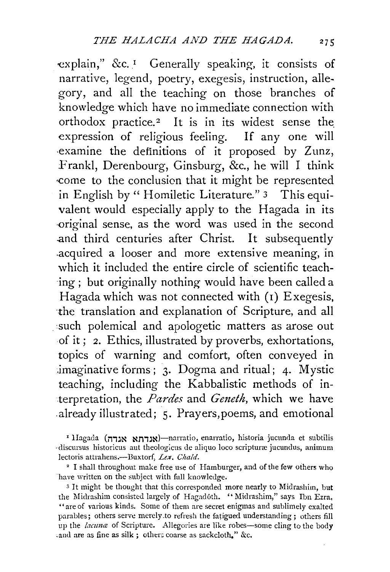-explain," &c. 1 Generally speaking, it consists of narrative, legend, poetry, exegesis, instruction, allegory, and all the teaching on those branches of knowledge which have no immediate connection with orthodox practice.<sup>2</sup> It is in its widest sense the expression of religious feeling. If any one will examine the definitions of it proposed by Zunz, Frankl, Derenbourg, Ginsburg, &c., he will I think ·come to the conclusicm that it might be represented in English by "Homiletic Literature." 3 This equivalent would especially apply to the Hagada in its -original sense, as the word was used in the second .and third centuries after Christ. It subsequently .acquired a looser and more extensive meaning, in which it included the entire circle of scientific teach- ·ing ; but originally nothing would have been called a Hagada which was not connected with (1) Exegesis, ·the translation and explanation of Scripture, and all such polemical and apologetic matters as arose out -of it; 2. Ethics, illustrated by proverbs, exhortations, topics of warning and comfort, often conveyed in imaginative forms; 3. Dogma and ritual; 4. Mystic teaching, including the Kabbalistic methods of interpretation, the *Pardes* and *Geneth,* which we have already illustrated; 5. Prayers, poems, and emotional

*z* llagada (i1,:1~ ~n,:l~)-narratio, enarratio, historia jucunda et subtilis discursus historicus aut theologicus de aliquo loco scripturæ jucundus, animum lectoris attrahens.--Buxtorf, Lex. Chald.

<sup>2</sup> I shall throughout make free use of Hamburger, and of the few others who ·have written on the subject with full knowledge.

<sup>3</sup> It might be thought that this corresponded more nearly to Midrashim, but the Midrashim consisted largely of Hagadôth. "Midrashim," says Ibn Ezra, "are of various kinds. Some of them are secret enigmas and sublimely exalted parables; others serve merely .to refresh the fatigued understanding ; others fill up the *lacuna* of Scripture. Allegories are like robes-some cling to the body and are as fine as silk ; others coarse as sackcloth." &c.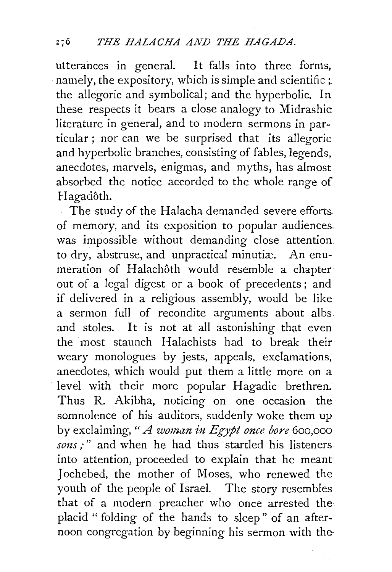utterances in general. It falls into three forms, namely, the expository, which is simple and scientific ; the allegoric and symbolical; and the hyperbolic. In these respects it bears a close analogy to Midrashic literature in general, and to modern sermons in particular ; nor can we be surprised that its allegoric and hyperbolic branches, consisting of fables, legends, anecdotes, marvels, enigmas, and myths, has almost absorbed the notice accorded to the whole range of Hagadôth.

The study of the Halacha demanded severe efforts. of memory, and its exposition to popular audiences. was impossible without demanding close attention to dry, abstruse, and unpractical minutiæ. An enumeration of Halachôth would resemble a chapter out of a legal digest or a book of precedents ; and if delivered in a religious assembly, would be like a sermon full of recondite arguments about albs and stoles. It is not at all astonishing that even the most staunch Halachists had to break their weary monologues by jests, appeals, exclamations, anecdotes, which would put them a little more on a level with their more popular Hagadic brethren. Thus R. Akibha, noticing on one occasion the somnolence of his auditors, suddenly woke them up by exclaiming, " *A woman in Egypt once bore* 600,000 sons;" and when he had thus startled his listeners into attention, proceeded to explain that he meant Jochebed, the mother of Moses, who renewed the youth of the people of Israel. The story resembles that of a modern. preacher who once arrested the placid " folding of the hands to sleep" of an afternoon congregation by beginning his sermon with the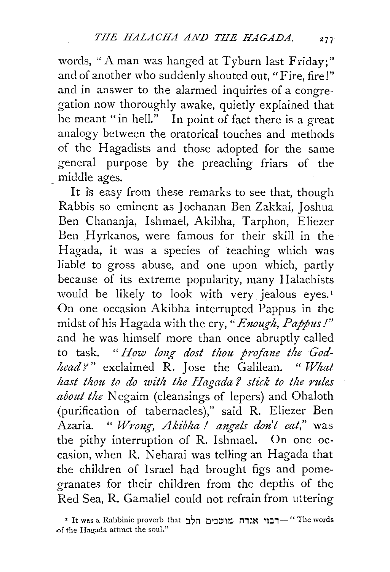words, "A man was hanged at Tyburn last Friday;" and of another who suddenly shouted out, "Fire, fire!" and in answer to the alarmed inquiries of a congregation now thoroughly awake, quietly explained that he meant "in hell." In point of fact there is a great analogy between the oratorical touches and methods of the Hagadists and those adopted for the same general purpose by the preaching friars of the . middle ages.

It is easy from these remarks to see that, though Rabbis so eminent as Jochanan Ben Zakkai, Joshua Ben Chananja, Ishmael, Akibha, Tarphon, Eliezer Ben Hyrkanos, were famous for their skill in the Hagada, it was a species of teaching which was liable to gross abuse, and one upon which, partly because of its extreme popularity, many Halachists would be likely to look with very jealous eyes.<sup>1</sup> On one occasion Akibha interrupted Pappus in the midst of his Hagada with the cry, "Enough, Pappus!" and he was himself more than once abruptly called to task. "How long dost thou profane the God*head* ?" exclaimed R. Jose the Galilean. " What hast thou to do with the Hagada? stick to the rules *about the* Negaim (cleansings of lepers) and Ohaloth (purification of tabernacles)," said R. Eliezer Ben Azaria. " *Wrong, Akibha ! angels don't eat*," was the pithy interruption of R. Ishmael. On one oc casion, when R. Neharai was telling an Hagada that the children of Israel had brought figs and pomegranates for their children from the depths of the Red Sea, R. Gamaliel could not refrain from uttering

• It was a Rabbinic proverb that ... מושכים הלב יהלב ו Tt was a Rabbinic proverb that of the Hagada attract the soul."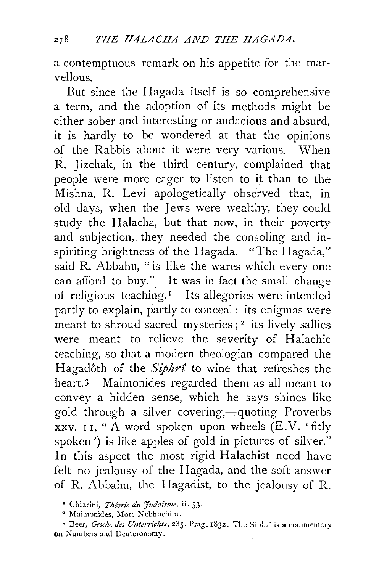a contemptuous remark on his appetite for the marvellous.

But since the Hagada itself is so comprehensive a term, and the adoption of its methods might be either sober and interesting or audacious and absurd, it is hardly to be wondered at that the opinions of the Rabbis about it were very various. When R. Jizchak, in the third century, complained that people were more eager to listen to it than to the Mishna, R. Levi apologetically observed that, in old days, when the Jews were wealthy, they could study the Halacha, but that now, in their poverty and subjection, they needed the consoling and inspiriting brightness of the Hagada. "The Hagada," said R. Abbahu, "is like the wares which everv one can afford to buy." It was in fact the small change of religious teaching.<sup>1</sup> Its allegories were intended partly to explain, partly to conceal; its enigmas were meant to shroud sacred mysteries;<sup>2</sup> its lively sallies were meant to relieve the severity of Halachic teaching, so that a modern theologian compared the Hagadôth of the *Siphrt* to wine that refreshes the heart.3 Maimonides regarded them as all meant to convey a hidden sense, which he says shines like gold through a silver covering,—quoting Proverbs xxv. 11, " $\AA$  word spoken upon wheels  $(E.V.$  'fitly spoken') is like apples of gold in pictures of silver." In this aspect the most rigid Halachist need have felt no jealousy of the Hagada, and the soft answer of R. Abbahu, the Hagadist, to the jealousy of R.

<sup>&</sup>lt;sup>1</sup> Chiarini, *Théorie du Judaisme*, ii. 53.

<sup>&</sup>lt;sup>2</sup> Maimonides, More Nebhochim.

<sup>&</sup>lt;sup>3</sup> Beer, *Gesch*: *des Unterrichts.* 285. Prag. 1832. The Siphrî is a commentary on Numbers and Deuteronomy.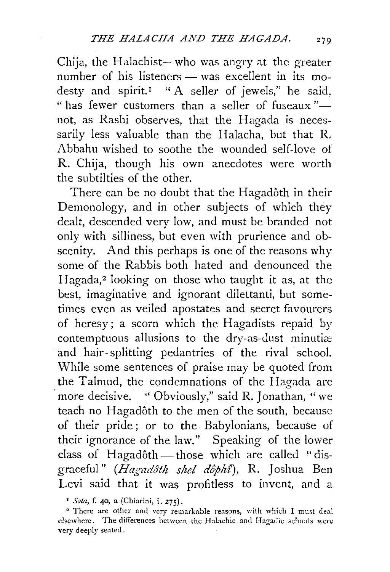Chija, the Halachist- who was angry at the greater number of his listeners - was excellent in its modesty and spirit.<sup>1</sup> "A seller of jewels," he said, " has fewer customers than a seller of fuseaux" $$ not, as Rashi observes, that the Hagada is necessarily less valuable than the Halacha, but that R. Abbahu wished to soothe the wounded self-love of R. Chija, though his own anecdotes were worth the subtilties of the other.

There can be no doubt that the Hagadôth in their Demonology, and in other subjects of which they dealt, descended very low, and must be branded not only with silliness, but even with prurience and obscenity. And this perhaps is one of the reasons why some of the Rabbis both hated and denounced the Hagada,<sup>2</sup> looking on those who taught it as, at the best, imaginative and ignorant dilettanti, but sometimes even as veiled apostates and secret favourers of heresy; a scorn which the Hagadists repaid by contemptuous allusions to the dry-as-dust minuti $\infty$ and hair-splitting pedantries of the rival school. While some sentences of praise may be quoted from the Talmud, the condemnations of the Hagada are more decisive. " Obviously," said R. Jonathan, "we teach no Hagadôth to the men of the south, because of their pride ; or to the Babylonians, because of their ignorance of the law." Speaking of the lower class of Hagadôth $-$ those which are called "disgraceful" *(Hagadôth shel dôphî)*, R. Joshua Ben Levi said that it was profitless to invent, and a

<sup>1</sup> *Sota*, f. 40, a (Chiarini, i. 275).<br><sup>2</sup> There are other and very remarkable reasons, with which I must deal elsewhere. The differences between the Halachic and Hagadic schools were very deeply seated.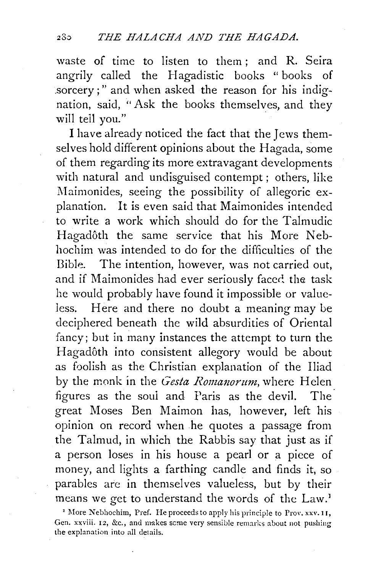waste of time to listen to them ; and R. Seira angrily called the Hagadistic books " books of sorcery;" and when asked the reason for his indignation, said, "Ask the books themselves, and they will tell you."

I have already noticed the fact that the Jews themselves hold different opinions about the Hagada, some of them regarding its more extravagant developments with natural and undisguised contempt ; others, like Maimonides, seeing the possibility of allegoric explanation. It is even said that Maimonides intended to write a work which should do for the Talmudic Hagadôth the same service that his More Nebhochim was intended to do for the difficulties of the Bible. The intention, however, was not carried out, and if Maimonides had ever seriously faced the task he would probably have found it impossible or valueless. Here and there no doubt a meaning may be deciphered beneath the wild absurdities of Oriental fancy; but in many instances the attempt to turn the Hagadôth into consistent allegory would be about as foolish as the Christian explanation of the Iliad by the monk in the *Gesta Romanorum*, where Helen figures as the soul and Paris as the devil. The great Moses Ben Maimon has, however, left his opinion on record when he quotes a passage from the Talmud, in which the Rabbis say that just as if a person loses in his house a pearl or a piece of money, and lights a farthing candle and finds it, so parables are in themselves valueless, but by their means we get to understand the words of the Law.<sup>1</sup>

<sup>&#</sup>x27;More Nebhochim, Pref. He proceeds to apply his principle to Prov. xxv. I r, Gen. xxviii. 12, &c., and makes some very sensible remarks about not pushing the explanation into all details.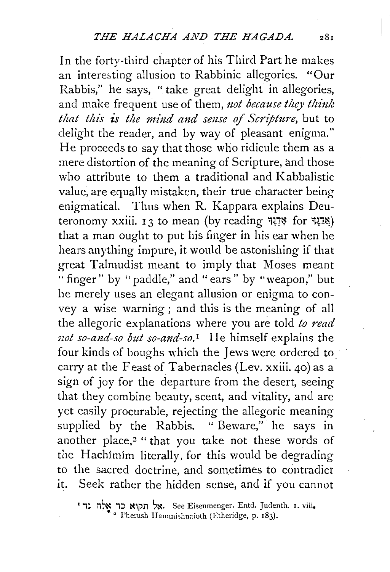In the forty-third chapter of his Third Part he makes an interesting allusion to Rabbinic allegories. "Our Rabbis," he says, "take great delight in allegories, and make frequent use of them, *not because they think* that this is the mind and sense of Scripture, but to delight the reader, and by way of pleasant enigma." He proceeds to say that those who ridicule them as a mere distortion of the meaning of Scripture, and those who attribute to them a traditional and Kabbalistic value, are equally mistaken, their true character being enigmatical. Thus when R. Kappara explains Deuteronomy xxiii. 13 to mean (by reading  $\frac{H}{H}$  for  $\frac{H}{H}$ ) that a man ought to put his finger in his ear when he hears anything impure, it would be astonishing if that great Talmudist meant to imply that Moses meant "finger" by "paddle," and "ears" by "weapon," but he merely uses an elegant allusion or enigma to convey a wise warning ; and this is the meaning of all the allegoric explanations where you are told *to read* not so-and-so but so-and-so.<sup>1</sup> He himself explains the four kinds of boughs which the Jews were ordered to carry at the Feast of Tabernacles (Lev. xxiii. 40) as a sign of joy for the departure from the desert, seeing that they combine beauty, scent, and vitality, and are yet easily procurable, rejecting the allegoric meaning supplied by the Rabbis. " Beware," he says in another place,<sup>2</sup> "that you take not these words of the Hachimim literally, for this would be degrading to the sacred doctrine, and sometimes to contradict it. Seek rather the hidden sense, and if you cannot

<sup>I</sup>,J ns~ ,::l ~lj)rl ~~- See Eisenmenger. Entd. Judenth. I. viii. • 2 l'herush Hammishnaioth (Etheridge, p. 183).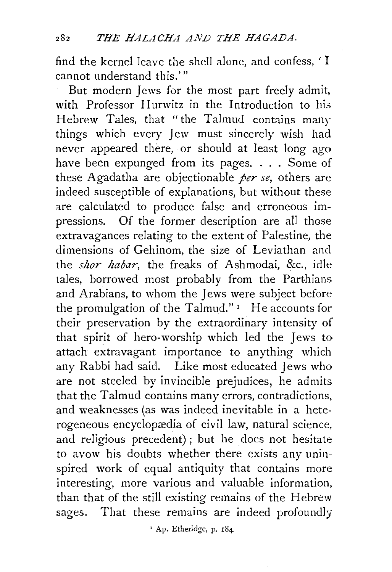find the kernel leave the shell alone, and confess, ' I cannot understand this.'"

But modern Jews for the most part freely admit, with Professor Hurwitz in the Introduction to his Hebrew Tales, that "the Talmud contains many things which every Jew must sincerely wish had never appeared there, or should at least long ago have been expunged from its pages. . . . Some of these Agadatha are objectionable *per se,* others are indeed susceptible of explanations, but without these are calculated to produce false and erroneous impressions. Of the former description are all those extravagances relating to the extent of Palestine, the dimensions of Gehinom, the size of Leviathan and the *shor habar,* the freaks of Ashmodai, &c., idle tales, borrowed most probably from the Parthians and Arabians, to whom the Jews were subject before the promulgation of the Talmud." $\text{I}$  He accounts for their preservation by the extraordinary intensity of that spirit of hero-worship which led the Jews to attach extravagant importance to anything which any Rabbi had said. Like most educated Jews who are not steeled by invincible prejudices, he admits that the Talmud contains many errors, contradictions, and weaknesses (as was indeed inevitable in a heterogeneous encyclopædia of civil law, natural science, and religious precedent) ; but he does not hesitate to avow his doubts whether there exists any uninspired work of equal antiquity that contains more interesting, more various and valuable information, than that of the still existing remains of the Hebrew sages. That these remains are indeed profoundly

' Ap. Etheridge, p. 184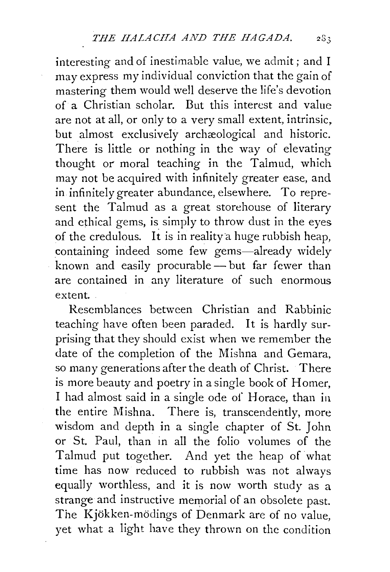interesting and of inestimable value, we admit; and I may express my individual conviction that the gain of mastering them would well deserve the life's devotion of a Christian scholar. But this interest and value are not at all, or only to a very small extent, intrinsic, but almost exclusively archaeological and historic. There is little or nothing in the way of elevating thought or moral teaching in the Talmud, which may not be acquired with infinitely greater ease, and in infinitely greater abundance, elsewhere. To represent the Talmud as a great storehouse of literary and ethical gems, is simply to throw dust in the eyes of the credulous. It is in reality a huge rubbish heap, containing indeed some few gems-already widely known and easily procurable - but far fewer than are contained in any literature of such enormous extent.

Resemblances between Christian and Rabbinic teaching have often been paraded. It is hardly surprising that they should exist when we remember the date of the completion of the Mishna and Gemara, so many generations after the death of Christ. There is more beauty and poetry in a single book of Homer, I had almost said in a single ode of Horace, than in the entire Mishna. There is, transcendently, more wisdom and depth in a single chapter of St. John or St. Paul, than in all the folio volumes of the Talmud put together. And yet the heap of what time has now reduced to rubbish was not always equally worthless, and it is now worth study as a strange and instructive memorial of an obsolete past. The Kjokken-modings of Denmark are of no value, yet what a light have they thrown on the condition